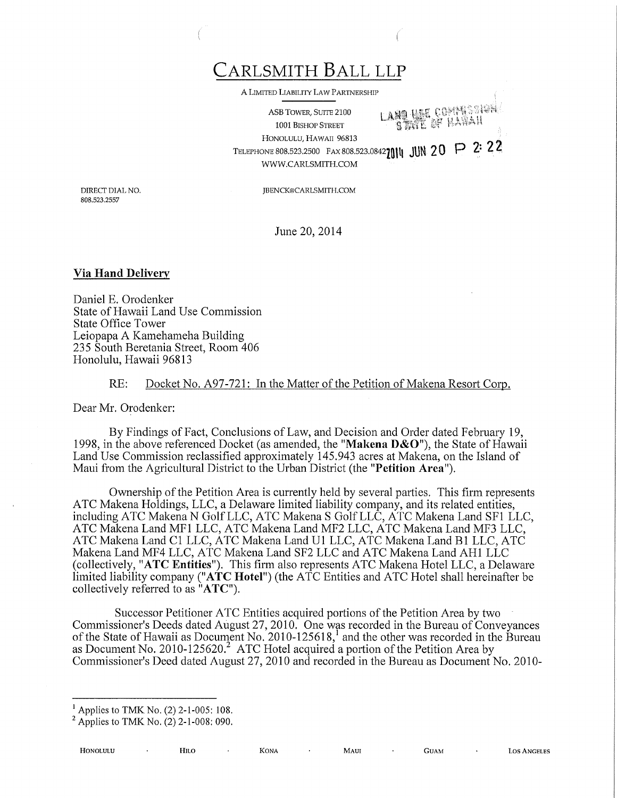CARLSMITH BALL LLP

A LIMITED LIABILITY LAW PARTNERSHIP

ASB TOWER, SUITE 2100 ÿ'ÿ ÿ-ÿ ÿ ÿ+ ...... 1001 BISHOP STREET HONOLULU, HAWAII 96813 TELEPHONE 808.523.2500 FAX 808.523.08422014 JUN 20 P 2: 22 WWW.CARLSMITH.COM

JBENCK@CARLSMITH.COM

DIRECT DIAL NO. 808.523.2557

June 20, 2014

## Via Hand Delivery

Daniel E. Orodenker State of Hawaii Land Use Commission State Office Tower Leiopapa A Kamehameha Building 235 South Beretania Street, Room 406 Honolulu, Hawaii 96813

## RE: Docket No. A97-721: In the Matter of the Petition of Makena Resort Corp.

Dear Mr. Orodenker:

By Findings of Fact, Conclusions of Law, and Decision and Order dated February 19, 1998, in the above referenced Docket (as amended, the "Makena  $D&O$ "), the State of Hawaii Land Use Commission reclassified approximately 145.943 acres at Makena, on the Island of Maui from the Agricultural District to the Urban District (the "Petition Area").

Ownership of the Petition Area is currently held by several parties. This firm represents ATC Makena Holdings, LLC, a Delaware limited liability company, and its related entities, including ATC Makena N Golf LLC, ATC Makena S Golf LLC, ATC Makena Land SF1 LLC, ATC Makena Land MF1 LLC, ATC Makena Land MF2 LLC, ATC Makena Land MF3 LLC, ATC Makena Land C1 LLC, ATC Makena Land U1 LLC, ATC Makena Land B1 LLC, ATC Makena Land MF4 LLC, ATC Makena Land SF2 LLC and ATC Makena Land AH1 LLC (collectively, "ATC Entities"). This firm also represents ATC Makena Hotel LLC, a Delaware limited liability company ("ATC Hotel") (the ATC Entities and ATC Hotel shall hereinafter be collectively referred to as "ATC").

Successor Petitioner ATC Entities acquired portions of the Petition Area by two Commissioner's Deeds dated August 27, 2010. One was recorded in the Bureau of Conveyances of the State of Hawaii as Document No. 2010-125618,<sup>1</sup> and the other was recorded in the Bureau as Document No. 2010-125620.<sup>2</sup> ATC Hotel acquired a portion of the Petition Area by Commissioner's Deed dated August 27, 2010 and recorded in the Bureau as Document No. 2010-

HONOLULU H1LO KONA MAUI GUAM LOS ANGELES

<sup>&</sup>lt;sup>1</sup> Applies to TMK No. (2) 2-1-005: 108.

 $2$  Applies to TMK No. (2) 2-1-008: 090.